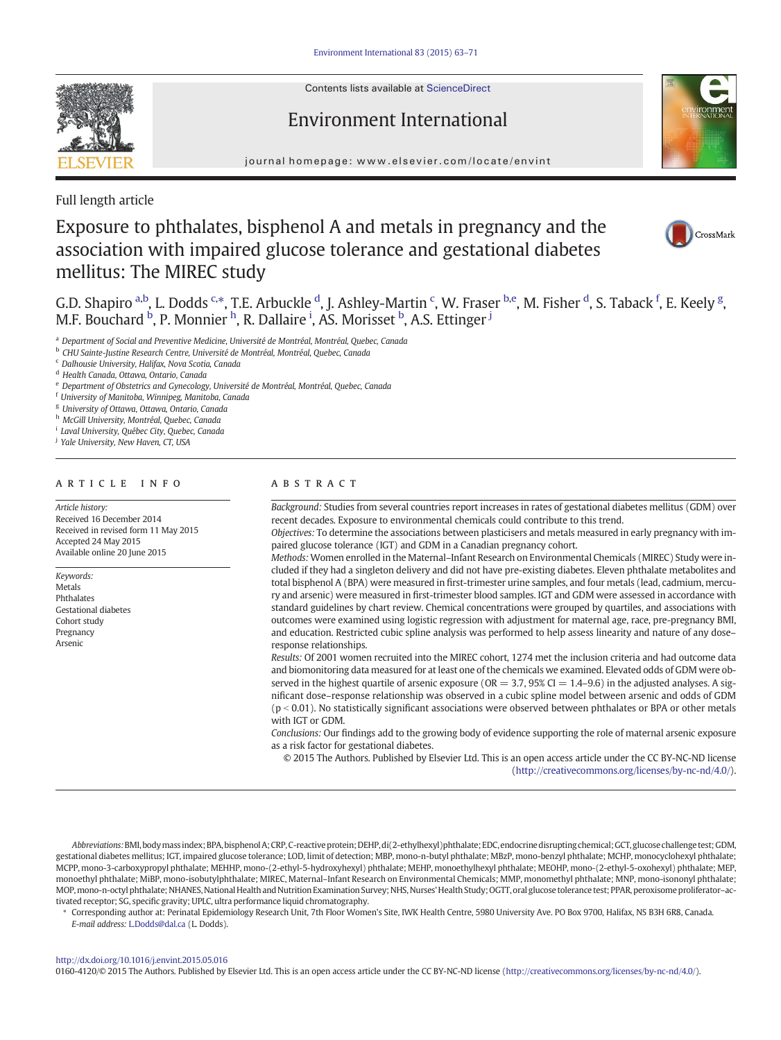Contents lists available at ScienceDirect

# Environment International

journal homepage: www.elsevier.com/locate/envint

Full length article

# Exposure to phthalates, bisphenol A and metals in pregnancy and the association with impaired glucose tolerance and gestational diabetes mellitus: The MIREC study



G.D. Shapiro <sup>a,b</sup>, L. Dodds <sup>c,\*</sup>, T.E. Arbuckle <sup>d</sup>, J. Ashley-Martin <sup>c</sup>, W. Fraser <sup>b,e</sup>, M. Fisher <sup>d</sup>, S. Taback <sup>f</sup>, E. Keely <sup>g</sup>, M.F. Bouchard <sup>b</sup>, P. Monnier <sup>h</sup>, R. Dallaire <sup>i</sup>, AS. Morisset <sup>b</sup>, A.S. Ettinger <sup>j</sup>

a Department of Social and Preventive Medicine, Université de Montréal, Montréal, Quebec, Canada

<sup>b</sup> CHU Sainte-Justine Research Centre, Université de Montréal, Montréal, Quebec, Canada

<sup>c</sup> Dalhousie University, Halifax, Nova Scotia, Canada

<sup>d</sup> Health Canada, Ottawa, Ontario, Canada

<sup>e</sup> Department of Obstetrics and Gynecology, Université de Montréal, Montréal, Quebec, Canada

<sup>f</sup> University of Manitoba, Winnipeg, Manitoba, Canada

<sup>g</sup> University of Ottawa, Ottawa, Ontario, Canada

h McGill University, Montréal, Quebec, Canada

<sup>i</sup> Laval University, Québec City, Quebec, Canada

<sup>j</sup> Yale University, New Haven, CT, USA

# article info abstract

Article history: Received 16 December 2014 Received in revised form 11 May 2015 Accepted 24 May 2015 Available online 20 June 2015

Keywords: Metals Phthalates Gestational diabetes Cohort study Pregnancy Arsenic

Background: Studies from several countries report increases in rates of gestational diabetes mellitus (GDM) over recent decades. Exposure to environmental chemicals could contribute to this trend.

Objectives: To determine the associations between plasticisers and metals measured in early pregnancy with impaired glucose tolerance (IGT) and GDM in a Canadian pregnancy cohort.

Methods: Women enrolled in the Maternal–Infant Research on Environmental Chemicals (MIREC) Study were included if they had a singleton delivery and did not have pre-existing diabetes. Eleven phthalate metabolites and total bisphenol A (BPA) were measured in first-trimester urine samples, and four metals (lead, cadmium, mercury and arsenic) were measured in first-trimester blood samples. IGT and GDM were assessed in accordance with standard guidelines by chart review. Chemical concentrations were grouped by quartiles, and associations with outcomes were examined using logistic regression with adjustment for maternal age, race, pre-pregnancy BMI, and education. Restricted cubic spline analysis was performed to help assess linearity and nature of any dose– response relationships.

Results: Of 2001 women recruited into the MIREC cohort, 1274 met the inclusion criteria and had outcome data and biomonitoring data measured for at least one of the chemicals we examined. Elevated odds of GDM were observed in the highest quartile of arsenic exposure ( $OR = 3.7, 95\%$  CI = 1.4–9.6) in the adjusted analyses. A significant dose–response relationship was observed in a cubic spline model between arsenic and odds of GDM  $(p < 0.01)$ . No statistically significant associations were observed between phthalates or BPA or other metals with IGT or GDM.

Conclusions: Our findings add to the growing body of evidence supporting the role of maternal arsenic exposure as a risk factor for gestational diabetes.

© 2015 The Authors. Published by Elsevier Ltd. This is an open access article under the CC BY-NC-ND license ([http://creativecommons.org/licenses/by-nc-nd/4.0/\)](http://creativecommons.org/licenses/by-nc-nd/4.0/).

Abbreviations:BMI,bodymassindex;BPA,bisphenolA;CRP, C-reactive protein; DEHP,di(2-ethylhexyl)phthalate;EDC,endocrine disrupting chemical;GCT, glucosechallenge test;GDM, gestational diabetes mellitus; IGT, impaired glucose tolerance; LOD, limit of detection; MBP, mono-n-butyl phthalate; MBzP, mono-benzyl phthalate; MCHP, monocyclohexyl phthalate; MCPP, mono-3-carboxypropyl phthalate; MEHHP, mono-(2-ethyl-5-hydroxyhexyl) phthalate; MEHP, monoethylhexyl phthalate; MEOHP, mono-(2-ethyl-5-oxohexyl) phthalate; MEP, monoethyl phthalate; MiBP, mono-isobutylphthalate; MIREC, Maternal–Infant Research on Environmental Chemicals; MMP, monomethyl phthalate; MNP, mono-isononyl phthalate; MOP,mono-n-octyl phthalate; NHANES, National Health and Nutrition Examination Survey; NHS, Nurses' Health Study; OGTT, oral glucose tolerance test; PPAR, peroxisome proliferator–activated receptor; SG, specific gravity; UPLC, ultra performance liquid chromatography.

⁎ Corresponding author at: Perinatal Epidemiology Research Unit, 7th Floor Women's Site, IWK Health Centre, 5980 University Ave. PO Box 9700, Halifax, NS B3H 6R8, Canada. E-mail address: [L.Dodds@dal.ca](mailto:L.Dodds@dal.ca) (L. Dodds).

<http://dx.doi.org/10.1016/j.envint.2015.05.016>

0160-4120/© 2015 The Authors. Published by Elsevier Ltd. This is an open access article under the CC BY-NC-ND license [\(http://creativecommons.org/licenses/by-nc-nd/4.0/\)](http://creativecommons.org/licenses/by-nc-nd/4.0/).

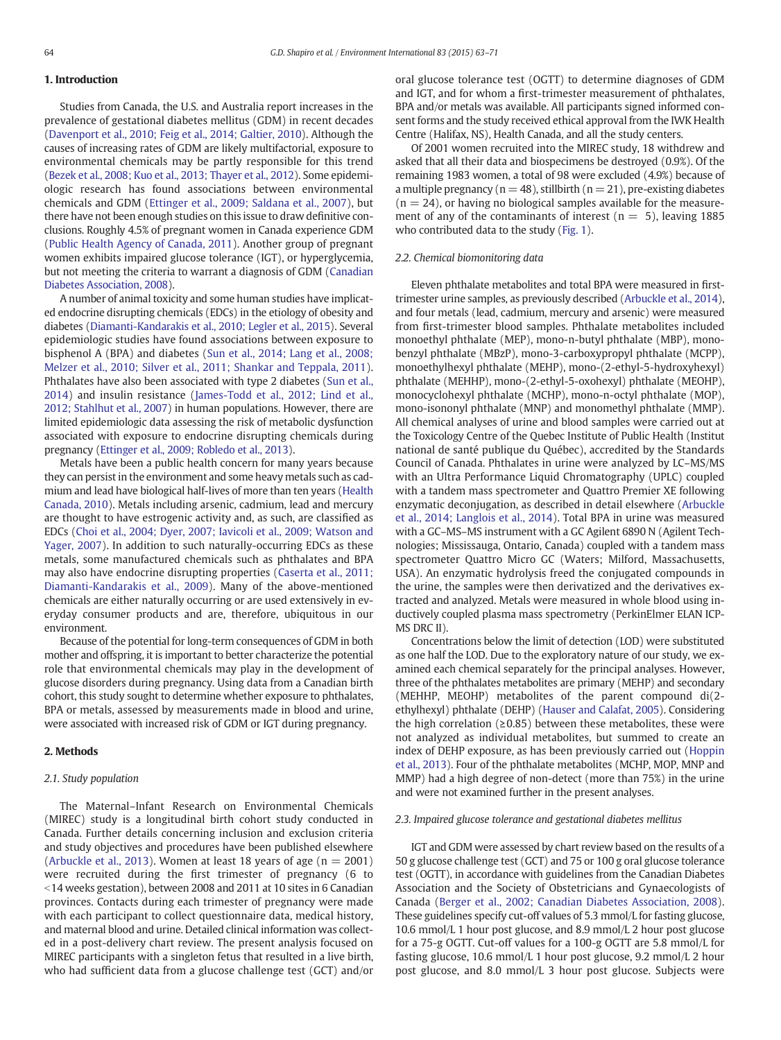# 1. Introduction

Studies from Canada, the U.S. and Australia report increases in the prevalence of gestational diabetes mellitus (GDM) in recent decades [\(Davenport et al., 2010; Feig et al., 2014; Galtier, 2010\)](#page-7-0). Although the causes of increasing rates of GDM are likely multifactorial, exposure to environmental chemicals may be partly responsible for this trend [\(Bezek et al., 2008; Kuo et al., 2013; Thayer et al., 2012](#page-7-0)). Some epidemiologic research has found associations between environmental chemicals and GDM ([Ettinger et al., 2009; Saldana et al., 2007](#page-7-0)), but there have not been enough studies on this issue to draw definitive conclusions. Roughly 4.5% of pregnant women in Canada experience GDM [\(Public Health Agency of Canada, 2011](#page-8-0)). Another group of pregnant women exhibits impaired glucose tolerance (IGT), or hyperglycemia, but not meeting the criteria to warrant a diagnosis of GDM ([Canadian](#page-7-0) [Diabetes Association, 2008](#page-7-0)).

A number of animal toxicity and some human studies have implicated endocrine disrupting chemicals (EDCs) in the etiology of obesity and diabetes ([Diamanti-Kandarakis et al., 2010; Legler et al., 2015\)](#page-7-0). Several epidemiologic studies have found associations between exposure to bisphenol A (BPA) and diabetes [\(Sun et al., 2014; Lang et al., 2008;](#page-8-0) [Melzer et al., 2010; Silver et al., 2011; Shankar and Teppala, 2011](#page-8-0)). Phthalates have also been associated with type 2 diabetes ([Sun et al.,](#page-8-0) [2014](#page-8-0)) and insulin resistance ([James-Todd et al., 2012; Lind et al.,](#page-7-0) [2012; Stahlhut et al., 2007\)](#page-7-0) in human populations. However, there are limited epidemiologic data assessing the risk of metabolic dysfunction associated with exposure to endocrine disrupting chemicals during pregnancy ([Ettinger et al., 2009; Robledo et al., 2013\)](#page-7-0).

Metals have been a public health concern for many years because they can persist in the environment and some heavy metals such as cadmium and lead have biological half-lives of more than ten years [\(Health](#page-7-0) [Canada, 2010](#page-7-0)). Metals including arsenic, cadmium, lead and mercury are thought to have estrogenic activity and, as such, are classified as EDCs ([Choi et al., 2004; Dyer, 2007; Iavicoli et al., 2009; Watson and](#page-7-0) [Yager, 2007\)](#page-7-0). In addition to such naturally-occurring EDCs as these metals, some manufactured chemicals such as phthalates and BPA may also have endocrine disrupting properties [\(Caserta et al., 2011;](#page-7-0) [Diamanti-Kandarakis et al., 2009\)](#page-7-0). Many of the above-mentioned chemicals are either naturally occurring or are used extensively in everyday consumer products and are, therefore, ubiquitous in our environment.

Because of the potential for long-term consequences of GDM in both mother and offspring, it is important to better characterize the potential role that environmental chemicals may play in the development of glucose disorders during pregnancy. Using data from a Canadian birth cohort, this study sought to determine whether exposure to phthalates, BPA or metals, assessed by measurements made in blood and urine, were associated with increased risk of GDM or IGT during pregnancy.

# 2. Methods

# 2.1. Study population

The Maternal–Infant Research on Environmental Chemicals (MIREC) study is a longitudinal birth cohort study conducted in Canada. Further details concerning inclusion and exclusion criteria and study objectives and procedures have been published elsewhere [\(Arbuckle et al., 2013\)](#page-7-0). Women at least 18 years of age  $(n = 2001)$ were recruited during the first trimester of pregnancy (6 to  $14$  weeks gestation), between 2008 and 2011 at 10 sites in 6 Canadian provinces. Contacts during each trimester of pregnancy were made with each participant to collect questionnaire data, medical history, and maternal blood and urine. Detailed clinical information was collected in a post-delivery chart review. The present analysis focused on MIREC participants with a singleton fetus that resulted in a live birth, who had sufficient data from a glucose challenge test (GCT) and/or oral glucose tolerance test (OGTT) to determine diagnoses of GDM and IGT, and for whom a first-trimester measurement of phthalates, BPA and/or metals was available. All participants signed informed consent forms and the study received ethical approval from the IWK Health Centre (Halifax, NS), Health Canada, and all the study centers.

Of 2001 women recruited into the MIREC study, 18 withdrew and asked that all their data and biospecimens be destroyed (0.9%). Of the remaining 1983 women, a total of 98 were excluded (4.9%) because of a multiple pregnancy ( $n = 48$ ), stillbirth ( $n = 21$ ), pre-existing diabetes  $(n = 24)$ , or having no biological samples available for the measurement of any of the contaminants of interest ( $n = 5$ ), leaving 1885 who contributed data to the study ([Fig. 1](#page-2-0)).

# 2.2. Chemical biomonitoring data

Eleven phthalate metabolites and total BPA were measured in firsttrimester urine samples, as previously described [\(Arbuckle et al., 2014\)](#page-7-0), and four metals (lead, cadmium, mercury and arsenic) were measured from first-trimester blood samples. Phthalate metabolites included monoethyl phthalate (MEP), mono-n-butyl phthalate (MBP), monobenzyl phthalate (MBzP), mono-3-carboxypropyl phthalate (MCPP), monoethylhexyl phthalate (MEHP), mono-(2-ethyl-5-hydroxyhexyl) phthalate (MEHHP), mono-(2-ethyl-5-oxohexyl) phthalate (MEOHP), monocyclohexyl phthalate (MCHP), mono-n-octyl phthalate (MOP), mono-isononyl phthalate (MNP) and monomethyl phthalate (MMP). All chemical analyses of urine and blood samples were carried out at the Toxicology Centre of the Quebec Institute of Public Health (Institut national de santé publique du Québec), accredited by the Standards Council of Canada. Phthalates in urine were analyzed by LC–MS/MS with an Ultra Performance Liquid Chromatography (UPLC) coupled with a tandem mass spectrometer and Quattro Premier XE following enzymatic deconjugation, as described in detail elsewhere [\(Arbuckle](#page-7-0) [et al., 2014; Langlois et al., 2014\)](#page-7-0). Total BPA in urine was measured with a GC–MS–MS instrument with a GC Agilent 6890 N (Agilent Technologies; Mississauga, Ontario, Canada) coupled with a tandem mass spectrometer Quattro Micro GC (Waters; Milford, Massachusetts, USA). An enzymatic hydrolysis freed the conjugated compounds in the urine, the samples were then derivatized and the derivatives extracted and analyzed. Metals were measured in whole blood using inductively coupled plasma mass spectrometry (PerkinElmer ELAN ICP-MS DRC II).

Concentrations below the limit of detection (LOD) were substituted as one half the LOD. Due to the exploratory nature of our study, we examined each chemical separately for the principal analyses. However, three of the phthalates metabolites are primary (MEHP) and secondary (MEHHP, MEOHP) metabolites of the parent compound di(2 ethylhexyl) phthalate (DEHP) [\(Hauser and Calafat, 2005\)](#page-7-0). Considering the high correlation  $(≥0.85)$  between these metabolites, these were not analyzed as individual metabolites, but summed to create an index of DEHP exposure, as has been previously carried out ([Hoppin](#page-7-0) [et al., 2013\)](#page-7-0). Four of the phthalate metabolites (MCHP, MOP, MNP and MMP) had a high degree of non-detect (more than 75%) in the urine and were not examined further in the present analyses.

#### 2.3. Impaired glucose tolerance and gestational diabetes mellitus

IGT and GDM were assessed by chart review based on the results of a 50 g glucose challenge test (GCT) and 75 or 100 g oral glucose tolerance test (OGTT), in accordance with guidelines from the Canadian Diabetes Association and the Society of Obstetricians and Gynaecologists of Canada [\(Berger et al., 2002; Canadian Diabetes Association, 2008](#page-7-0)). These guidelines specify cut-off values of 5.3 mmol/L for fasting glucose, 10.6 mmol/L 1 hour post glucose, and 8.9 mmol/L 2 hour post glucose for a 75-g OGTT. Cut-off values for a 100-g OGTT are 5.8 mmol/L for fasting glucose, 10.6 mmol/L 1 hour post glucose, 9.2 mmol/L 2 hour post glucose, and 8.0 mmol/L 3 hour post glucose. Subjects were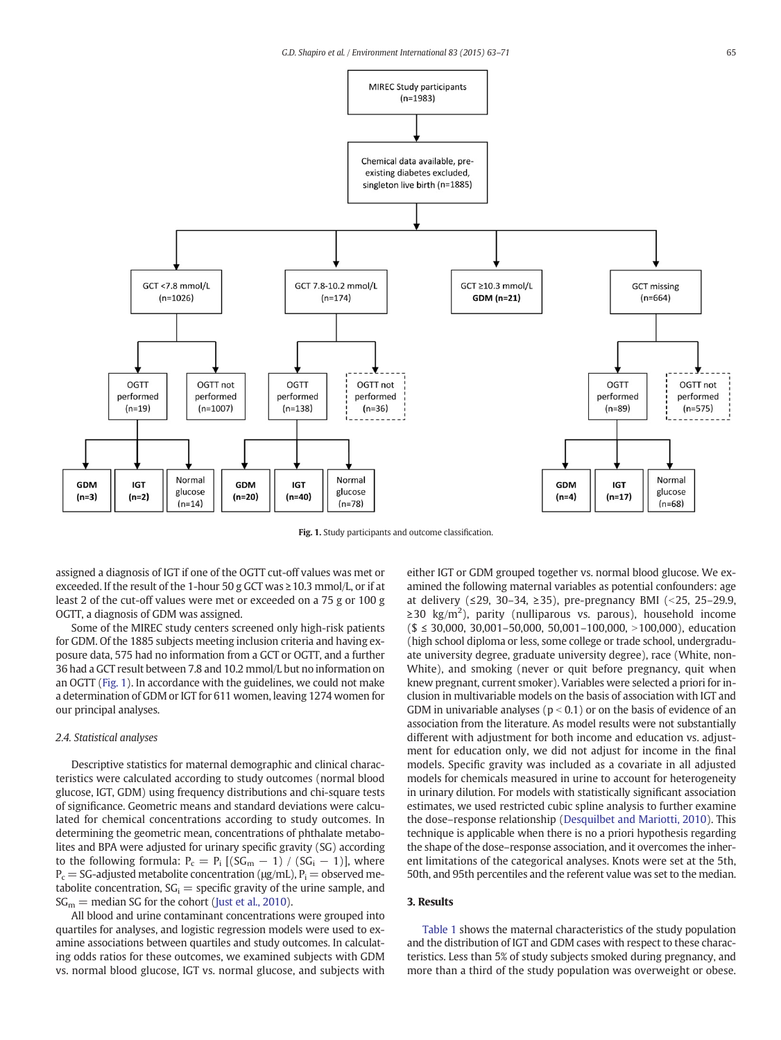<span id="page-2-0"></span>

Fig. 1. Study participants and outcome classification.

assigned a diagnosis of IGT if one of the OGTT cut-off values was met or exceeded. If the result of the 1-hour 50 g GCT was  $\geq$  10.3 mmol/L, or if at least 2 of the cut-off values were met or exceeded on a 75 g or 100 g OGTT, a diagnosis of GDM was assigned.

Some of the MIREC study centers screened only high-risk patients for GDM. Of the 1885 subjects meeting inclusion criteria and having exposure data, 575 had no information from a GCT or OGTT, and a further 36 had a GCT result between 7.8 and 10.2 mmol/L but no information on an OGTT (Fig. 1). In accordance with the guidelines, we could not make a determination of GDM or IGT for 611 women, leaving 1274 women for our principal analyses.

### 2.4. Statistical analyses

Descriptive statistics for maternal demographic and clinical characteristics were calculated according to study outcomes (normal blood glucose, IGT, GDM) using frequency distributions and chi-square tests of significance. Geometric means and standard deviations were calculated for chemical concentrations according to study outcomes. In determining the geometric mean, concentrations of phthalate metabolites and BPA were adjusted for urinary specific gravity (SG) according to the following formula:  $P_c = P_i [(SG_m - 1) / (SG_i - 1)]$ , where  $P_c$  = SG-adjusted metabolite concentration ( $\mu$ g/mL),  $P_i$  = observed metabolite concentration,  $SG_i$  = specific gravity of the urine sample, and  $SG<sub>m</sub>$  = median SG for the cohort [\(Just et al., 2010](#page-7-0)).

All blood and urine contaminant concentrations were grouped into quartiles for analyses, and logistic regression models were used to examine associations between quartiles and study outcomes. In calculating odds ratios for these outcomes, we examined subjects with GDM vs. normal blood glucose, IGT vs. normal glucose, and subjects with either IGT or GDM grouped together vs. normal blood glucose. We examined the following maternal variables as potential confounders: age at delivery (≤29, 30–34, ≥35), pre-pregnancy BMI (<25, 25–29.9, ≥30 kg/m<sup>2</sup>), parity (nulliparous vs. parous), household income  $(S \le 30,000, 30,001-50,000, 50,001-100,000, >100,000)$ , education (high school diploma or less, some college or trade school, undergraduate university degree, graduate university degree), race (White, non-White), and smoking (never or quit before pregnancy, quit when knew pregnant, current smoker). Variables were selected a priori for inclusion in multivariable models on the basis of association with IGT and GDM in univariable analyses ( $p < 0.1$ ) or on the basis of evidence of an association from the literature. As model results were not substantially different with adjustment for both income and education vs. adjustment for education only, we did not adjust for income in the final models. Specific gravity was included as a covariate in all adjusted models for chemicals measured in urine to account for heterogeneity in urinary dilution. For models with statistically significant association estimates, we used restricted cubic spline analysis to further examine the dose–response relationship [\(Desquilbet and Mariotti, 2010\)](#page-7-0). This technique is applicable when there is no a priori hypothesis regarding the shape of the dose–response association, and it overcomes the inherent limitations of the categorical analyses. Knots were set at the 5th, 50th, and 95th percentiles and the referent value was set to the median.

# 3. Results

[Table 1](#page-3-0) shows the maternal characteristics of the study population and the distribution of IGT and GDM cases with respect to these characteristics. Less than 5% of study subjects smoked during pregnancy, and more than a third of the study population was overweight or obese.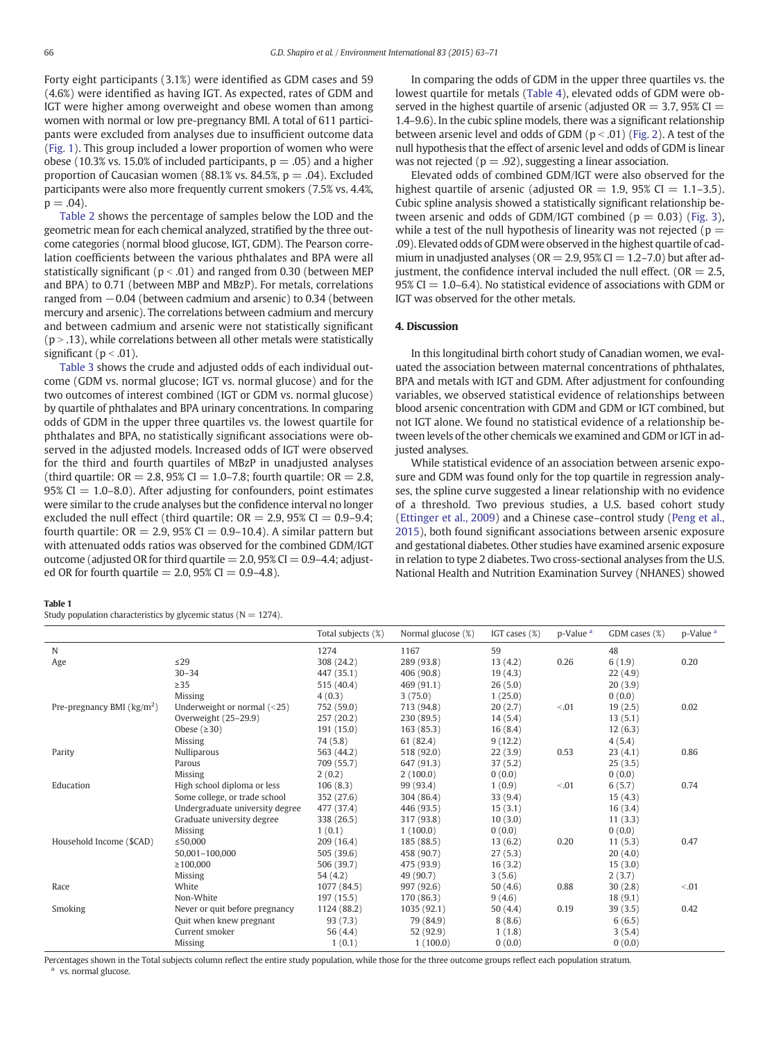<span id="page-3-0"></span>Forty eight participants (3.1%) were identified as GDM cases and 59 (4.6%) were identified as having IGT. As expected, rates of GDM and IGT were higher among overweight and obese women than among women with normal or low pre-pregnancy BMI. A total of 611 participants were excluded from analyses due to insufficient outcome data [\(Fig. 1](#page-2-0)). This group included a lower proportion of women who were obese (10.3% vs. 15.0% of included participants,  $p = .05$ ) and a higher proportion of Caucasian women (88.1% vs. 84.5%,  $p = .04$ ). Excluded participants were also more frequently current smokers (7.5% vs. 4.4%,  $p = .04$ ).

[Table 2](#page-4-0) shows the percentage of samples below the LOD and the geometric mean for each chemical analyzed, stratified by the three outcome categories (normal blood glucose, IGT, GDM). The Pearson correlation coefficients between the various phthalates and BPA were all statistically significant ( $p < .01$ ) and ranged from 0.30 (between MEP and BPA) to 0.71 (between MBP and MBzP). For metals, correlations ranged from −0.04 (between cadmium and arsenic) to 0.34 (between mercury and arsenic). The correlations between cadmium and mercury and between cadmium and arsenic were not statistically significant  $(p > .13)$ , while correlations between all other metals were statistically significant ( $p < .01$ ).

[Table 3](#page-4-0) shows the crude and adjusted odds of each individual outcome (GDM vs. normal glucose; IGT vs. normal glucose) and for the two outcomes of interest combined (IGT or GDM vs. normal glucose) by quartile of phthalates and BPA urinary concentrations. In comparing odds of GDM in the upper three quartiles vs. the lowest quartile for phthalates and BPA, no statistically significant associations were observed in the adjusted models. Increased odds of IGT were observed for the third and fourth quartiles of MBzP in unadjusted analyses (third quartile:  $OR = 2.8$ ,  $95\% CI = 1.0 - 7.8$ ; fourth quartile:  $OR = 2.8$ , 95% CI  $=$  1.0–8.0). After adjusting for confounders, point estimates were similar to the crude analyses but the confidence interval no longer excluded the null effect (third quartile:  $OR = 2.9$ , 95% CI = 0.9-9.4; fourth quartile:  $OR = 2.9$ , 95%  $CI = 0.9$ –10.4). A similar pattern but with attenuated odds ratios was observed for the combined GDM/IGT outcome (adjusted OR for third quartile  $= 2.0, 95\%$  CI  $= 0.9-4.4$ ; adjusted OR for fourth quartile = 2.0, 95% CI =  $0.9-4.8$ ).

# Table 1

Study population characteristics by glycemic status ( $N = 1274$ ).

In comparing the odds of GDM in the upper three quartiles vs. the lowest quartile for metals [\(Table 4\)](#page-5-0), elevated odds of GDM were observed in the highest quartile of arsenic (adjusted  $OR = 3.7$ , 95% CI = 1.4–9.6). In the cubic spline models, there was a significant relationship between arsenic level and odds of GDM ( $p < .01$ ) [\(Fig. 2\)](#page-5-0). A test of the null hypothesis that the effect of arsenic level and odds of GDM is linear was not rejected ( $p = .92$ ), suggesting a linear association.

Elevated odds of combined GDM/IGT were also observed for the highest quartile of arsenic (adjusted  $OR = 1.9$ , 95%  $CI = 1.1$ –3.5). Cubic spline analysis showed a statistically significant relationship between arsenic and odds of GDM/IGT combined ( $p = 0.03$ ) [\(Fig. 3](#page-5-0)), while a test of the null hypothesis of linearity was not rejected ( $p =$ .09). Elevated odds of GDM were observed in the highest quartile of cadmium in unadjusted analyses ( $OR = 2.9,95\%$  CI = 1.2-7.0) but after adjustment, the confidence interval included the null effect. ( $OR = 2.5$ , 95% CI  $= 1.0$ –6.4). No statistical evidence of associations with GDM or IGT was observed for the other metals.

#### 4. Discussion

In this longitudinal birth cohort study of Canadian women, we evaluated the association between maternal concentrations of phthalates, BPA and metals with IGT and GDM. After adjustment for confounding variables, we observed statistical evidence of relationships between blood arsenic concentration with GDM and GDM or IGT combined, but not IGT alone. We found no statistical evidence of a relationship between levels of the other chemicals we examined and GDM or IGT in adjusted analyses.

While statistical evidence of an association between arsenic exposure and GDM was found only for the top quartile in regression analyses, the spline curve suggested a linear relationship with no evidence of a threshold. Two previous studies, a U.S. based cohort study [\(Ettinger et al., 2009\)](#page-7-0) and a Chinese case–control study ([Peng et al.,](#page-8-0) [2015](#page-8-0)), both found significant associations between arsenic exposure and gestational diabetes. Other studies have examined arsenic exposure in relation to type 2 diabetes. Two cross-sectional analyses from the U.S. National Health and Nutrition Examination Survey (NHANES) showed

|                                       |                                 | Total subjects (%) | Normal glucose (%) | IGT cases $(\%)$ | p-Value <sup>a</sup> | GDM cases (%) | p-Value <sup>a</sup> |
|---------------------------------------|---------------------------------|--------------------|--------------------|------------------|----------------------|---------------|----------------------|
| N                                     |                                 | 1274               | 1167               | 59               |                      | 48            |                      |
| Age                                   | $\leq$ 29                       | 308 (24.2)         | 289 (93.8)         | 13(4.2)          | 0.26                 | 6(1.9)        | 0.20                 |
|                                       | $30 - 34$                       | 447 (35.1)         | 406 (90.8)         | 19(4.3)          |                      | 22(4.9)       |                      |
|                                       | $\geq$ 35                       | 515 (40.4)         | 469 (91.1)         | 26(5.0)          |                      | 20(3.9)       |                      |
|                                       | <b>Missing</b>                  | 4(0.3)             | 3(75.0)            | 1(25.0)          |                      | 0(0.0)        |                      |
| Pre-pregnancy BMI ( $\text{kg/m}^2$ ) | Underweight or normal $($       | 752 (59.0)         | 713 (94.8)         | 20(2.7)          | < .01                | 19(2.5)       | 0.02                 |
|                                       | Overweight (25-29.9)            | 257(20.2)          | 230 (89.5)         | 14(5.4)          |                      | 13(5.1)       |                      |
|                                       | Obese $(230)$                   | 191 (15.0)         | 163(85.3)          | 16(8.4)          |                      | 12(6.3)       |                      |
|                                       | <b>Missing</b>                  | 74 (5.8)           | 61(82.4)           | 9(12.2)          |                      | 4(5.4)        |                      |
| Parity                                | <b>Nulliparous</b>              | 563 (44.2)         | 518 (92.0)         | 22(3.9)          | 0.53                 | 23(4.1)       | 0.86                 |
|                                       | Parous                          | 709 (55.7)         | 647 (91.3)         | 37(5.2)          |                      | 25(3.5)       |                      |
|                                       | <b>Missing</b>                  | 2(0.2)             | 2(100.0)           | 0(0.0)           |                      | 0(0.0)        |                      |
| Education                             | High school diploma or less     | 106(8.3)           | 99 (93.4)          | 1(0.9)           | < 0.01               | 6(5.7)        | 0.74                 |
|                                       | Some college, or trade school   | 352 (27.6)         | 304 (86.4)         | 33(9.4)          |                      | 15(4.3)       |                      |
|                                       | Undergraduate university degree | 477 (37.4)         | 446 (93.5)         | 15(3.1)          |                      | 16(3.4)       |                      |
|                                       | Graduate university degree      | 338 (26.5)         | 317 (93.8)         | 10(3.0)          |                      | 11(3.3)       |                      |
|                                       | <b>Missing</b>                  | 1(0.1)             | 1(100.0)           | 0(0.0)           |                      | 0(0.0)        |                      |
| Household Income (\$CAD)              | ≤50,000                         | 209(16.4)          | 185 (88.5)         | 13(6.2)          | 0.20                 | 11(5.3)       | 0.47                 |
|                                       | 50,001-100,000                  | 505 (39.6)         | 458 (90.7)         | 27(5.3)          |                      | 20(4.0)       |                      |
|                                       | $\geq 100,000$                  | 506 (39.7)         | 475 (93.9)         | 16(3.2)          |                      | 15(3.0)       |                      |
|                                       | <b>Missing</b>                  | 54(4.2)            | 49 (90.7)          | 3(5.6)           |                      | 2(3.7)        |                      |
| Race                                  | White                           | 1077 (84.5)        | 997 (92.6)         | 50(4.6)          | 0.88                 | 30(2.8)       | < 0.01               |
|                                       | Non-White                       | 197 (15.5)         | 170 (86.3)         | 9(4.6)           |                      | 18(9.1)       |                      |
| Smoking                               | Never or quit before pregnancy  | 1124 (88.2)        | 1035 (92.1)        | 50 $(4.4)$       | 0.19                 | 39(3.5)       | 0.42                 |
|                                       | Quit when knew pregnant         | 93(7.3)            | 79 (84.9)          | 8(8.6)           |                      | 6(6.5)        |                      |
|                                       | Current smoker                  | 56 $(4.4)$         | 52 (92.9)          | 1(1.8)           |                      | 3(5.4)        |                      |
|                                       | <b>Missing</b>                  | 1(0.1)             | 1(100.0)           | 0(0.0)           |                      | 0(0.0)        |                      |

Percentages shown in the Total subjects column reflect the entire study population, while those for the three outcome groups reflect each population stratum. vs. normal glucose.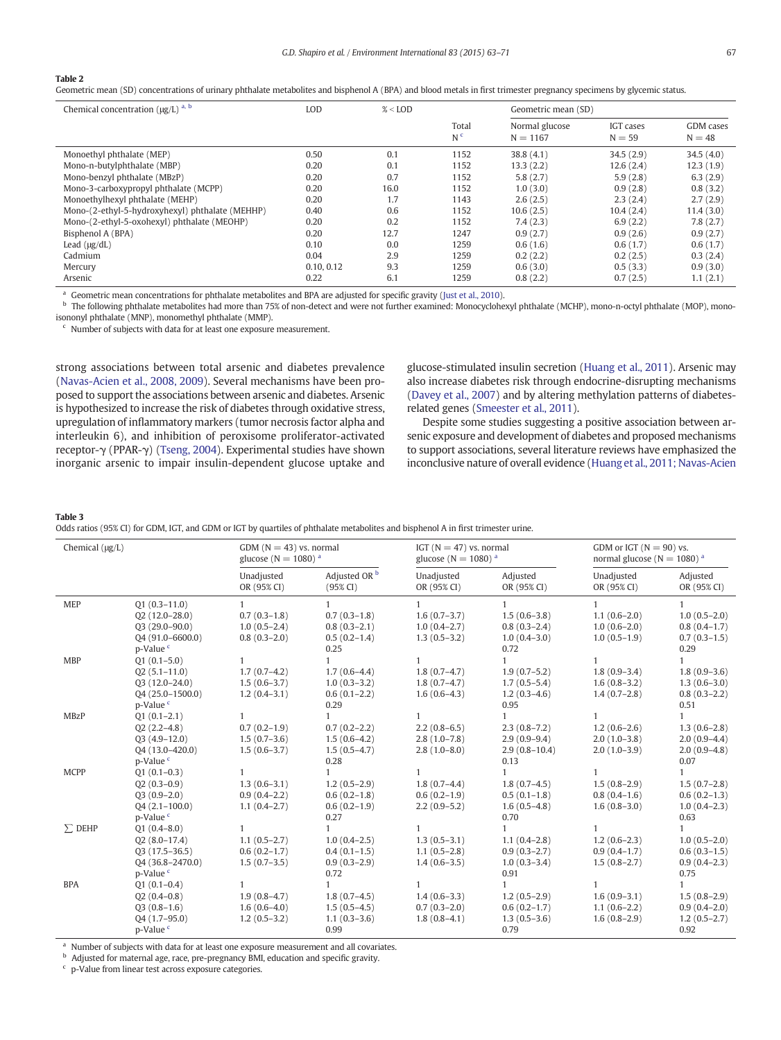#### <span id="page-4-0"></span>Table 2

Geometric mean (SD) concentrations of urinary phthalate metabolites and bisphenol A (BPA) and blood metals in first trimester pregnancy specimens by glycemic status.

| Chemical concentration ( $\mu$ g/L) <sup>a, b</sup> | <b>LOD</b> | $% <$ LOD |                         | Geometric mean (SD)          |                       |                       |
|-----------------------------------------------------|------------|-----------|-------------------------|------------------------------|-----------------------|-----------------------|
|                                                     |            |           | Total<br>N <sup>c</sup> | Normal glucose<br>$N = 1167$ | IGT cases<br>$N = 59$ | GDM cases<br>$N = 48$ |
| Monoethyl phthalate (MEP)                           | 0.50       | 0.1       | 1152                    | 38.8(4.1)                    | 34.5(2.9)             | 34.5(4.0)             |
| Mono-n-butylphthalate (MBP)                         | 0.20       | 0.1       | 1152                    | 13.3(2.2)                    | 12.6(2.4)             | 12.3(1.9)             |
| Mono-benzyl phthalate (MBzP)                        | 0.20       | 0.7       | 1152                    | 5.8(2.7)                     | 5.9(2.8)              | 6.3(2.9)              |
| Mono-3-carboxypropyl phthalate (MCPP)               | 0.20       | 16.0      | 1152                    | 1.0(3.0)                     | 0.9(2.8)              | 0.8(3.2)              |
| Monoethylhexyl phthalate (MEHP)                     | 0.20       | 1.7       | 1143                    | 2.6(2.5)                     | 2.3(2.4)              | 2.7(2.9)              |
| Mono-(2-ethyl-5-hydroxyhexyl) phthalate (MEHHP)     | 0.40       | 0.6       | 1152                    | 10.6(2.5)                    | 10.4(2.4)             | 11.4(3.0)             |
| Mono-(2-ethyl-5-oxohexyl) phthalate (MEOHP)         | 0.20       | 0.2       | 1152                    | 7.4(2.3)                     | 6.9(2.2)              | 7.8(2.7)              |
| Bisphenol A (BPA)                                   | 0.20       | 12.7      | 1247                    | 0.9(2.7)                     | 0.9(2.6)              | 0.9(2.7)              |
| Lead $(\mu g/dL)$                                   | 0.10       | 0.0       | 1259                    | 0.6(1.6)                     | 0.6(1.7)              | 0.6(1.7)              |
| Cadmium                                             | 0.04       | 2.9       | 1259                    | 0.2(2.2)                     | 0.2(2.5)              | 0.3(2.4)              |
| Mercury                                             | 0.10, 0.12 | 9.3       | 1259                    | 0.6(3.0)                     | 0.5(3.3)              | 0.9(3.0)              |
| Arsenic                                             | 0.22       | 6.1       | 1259                    | 0.8(2.2)                     | 0.7(2.5)              | 1.1(2.1)              |

<sup>a</sup> Geometric mean concentrations for phthalate metabolites and BPA are adjusted for specific gravity [\(Just et al., 2010\)](#page-7-0).<br><sup>b</sup> The following phthalate metabolites had mean than 75% of non-detect and were not further exami

<sup>b</sup> The following phthalate metabolites had more than 75% of non-detect and were not further examined: Monocyclohexyl phthalate (MCHP), mono-n-octyl phthalate (MOP), monoisononyl phthalate (MNP), monomethyl phthalate (MMP).

Number of subjects with data for at least one exposure measurement.

strong associations between total arsenic and diabetes prevalence [\(Navas-Acien et al., 2008, 2009](#page-7-0)). Several mechanisms have been proposed to support the associations between arsenic and diabetes. Arsenic is hypothesized to increase the risk of diabetes through oxidative stress, upregulation of inflammatory markers (tumor necrosis factor alpha and interleukin 6), and inhibition of peroxisome proliferator-activated receptor-γ (PPAR-γ) [\(Tseng, 2004](#page-8-0)). Experimental studies have shown inorganic arsenic to impair insulin-dependent glucose uptake and glucose-stimulated insulin secretion [\(Huang et al., 2011](#page-7-0)). Arsenic may also increase diabetes risk through endocrine-disrupting mechanisms [\(Davey et al., 2007](#page-7-0)) and by altering methylation patterns of diabetesrelated genes [\(Smeester et al., 2011\)](#page-8-0).

Despite some studies suggesting a positive association between arsenic exposure and development of diabetes and proposed mechanisms to support associations, several literature reviews have emphasized the inconclusive nature of overall evidence [\(Huang et al., 2011; Navas-Acien](#page-7-0)

### Table 3

Odds ratios (95% CI) for GDM, IGT, and GDM or IGT by quartiles of phthalate metabolites and bisphenol A in first trimester urine.

| Chemical $(\mu g/L)$ |                                      | GDM $(N = 43)$ vs. normal<br>glucose ( $N = 1080$ ) <sup>a</sup> |                                      | IGT ( $N = 47$ ) vs. normal<br>glucose ( $N = 1080$ ) <sup>a</sup> |                                  | GDM or IGT $(N = 90)$ vs.<br>normal glucose ( $N = 1080$ ) <sup>a</sup> |                                  |
|----------------------|--------------------------------------|------------------------------------------------------------------|--------------------------------------|--------------------------------------------------------------------|----------------------------------|-------------------------------------------------------------------------|----------------------------------|
|                      |                                      | Unadjusted<br>OR (95% CI)                                        | Adjusted OR <sup>b</sup><br>(95% CI) | Unadjusted<br>OR (95% CI)                                          | Adjusted<br>OR (95% CI)          | Unadjusted<br>OR (95% CI)                                               | Adjusted<br>OR (95% CI)          |
| <b>MEP</b>           | $Q1(0.3-11.0)$                       | $\mathbf{1}$                                                     | $\mathbf{1}$                         | $\mathbf{1}$                                                       | $\mathbf{1}$                     | $\mathbf{1}$                                                            |                                  |
|                      | $Q2(12.0-28.0)$                      | $0.7(0.3-1.8)$                                                   | $0.7(0.3-1.8)$                       | $1.6(0.7-3.7)$                                                     | $1.5(0.6-3.8)$                   | $1.1(0.6-2.0)$                                                          | $1.0(0.5-2.0)$                   |
|                      | $Q3(29.0-90.0)$                      | $1.0(0.5-2.4)$                                                   | $0.8(0.3-2.1)$                       | $1.0(0.4-2.7)$                                                     | $0.8(0.3-2.4)$                   | $1.0(0.6-2.0)$                                                          | $0.8(0.4-1.7)$                   |
|                      | 04 (91.0-6600.0)                     | $0.8(0.3-2.0)$                                                   | $0.5(0.2-1.4)$                       | $1.3(0.5-3.2)$                                                     | $1.0(0.4-3.0)$                   | $1.0(0.5-1.9)$                                                          | $0.7(0.3-1.5)$                   |
|                      | p-Value <sup>c</sup>                 |                                                                  | 0.25                                 |                                                                    | 0.72                             |                                                                         | 0.29                             |
| <b>MBP</b>           | $Q1(0.1-5.0)$                        | 1                                                                |                                      | 1.                                                                 | 1                                | $\mathbf{1}$                                                            |                                  |
|                      | $Q2(5.1-11.0)$                       | $1.7(0.7-4.2)$                                                   | $1.7(0.6-4.4)$                       | $1.8(0.7-4.7)$                                                     | $1.9(0.7-5.2)$                   | $1.8(0.9-3.4)$                                                          | $1.8(0.9-3.6)$                   |
|                      | $Q3(12.0-24.0)$<br>$Q4(25.0-1500.0)$ | $1.5(0.6-3.7)$<br>$1.2(0.4-3.1)$                                 | $1.0(0.3-3.2)$<br>$0.6(0.1-2.2)$     | $1.8(0.7-4.7)$<br>$1.6(0.6-4.3)$                                   | $1.7(0.5-5.4)$<br>$1.2(0.3-4.6)$ | $1.6(0.8-3.2)$<br>$1.4(0.7-2.8)$                                        | $1.3(0.6-3.0)$<br>$0.8(0.3-2.2)$ |
|                      | p-Value <sup>c</sup>                 |                                                                  | 0.29                                 |                                                                    | 0.95                             |                                                                         | 0.51                             |
| <b>MBzP</b>          | $Q1(0.1-2.1)$                        |                                                                  | 1                                    |                                                                    | $\mathbf{1}$                     | $\mathbf{1}$                                                            | $\mathbf{1}$                     |
|                      | $Q2(2.2-4.8)$                        | $0.7(0.2-1.9)$                                                   | $0.7(0.2 - 2.2)$                     | $2.2(0.8-6.5)$                                                     | $2.3(0.8-7.2)$                   | $1.2(0.6-2.6)$                                                          | $1.3(0.6-2.8)$                   |
|                      | $Q3(4.9-12.0)$                       | $1.5(0.7-3.6)$                                                   | $1.5(0.6-4.2)$                       | $2.8(1.0-7.8)$                                                     | $2.9(0.9-9.4)$                   | $2.0(1.0-3.8)$                                                          | $2.0(0.9-4.4)$                   |
|                      | $Q4(13.0-420.0)$                     | $1.5(0.6-3.7)$                                                   | $1.5(0.5-4.7)$                       | $2.8(1.0-8.0)$                                                     | $2.9(0.8-10.4)$                  | $2.0(1.0-3.9)$                                                          | $2.0(0.9-4.8)$                   |
|                      | p-Value <sup>c</sup>                 |                                                                  | 0.28                                 |                                                                    | 0.13                             |                                                                         | 0.07                             |
| <b>MCPP</b>          | $Q1(0.1-0.3)$                        |                                                                  |                                      |                                                                    |                                  | $\mathbf{1}$                                                            |                                  |
|                      | $Q2(0.3-0.9)$                        | $1.3(0.6-3.1)$                                                   | $1.2(0.5-2.9)$                       | $1.8(0.7-4.4)$                                                     | $1.8(0.7-4.5)$                   | $1.5(0.8-2.9)$                                                          | $1.5(0.7-2.8)$                   |
|                      | $Q3(0.9-2.0)$                        | $0.9(0.4-2.2)$                                                   | $0.6(0.2-1.8)$                       | $0.6(0.2-1.9)$                                                     | $0.5(0.1-1.8)$                   | $0.8(0.4-1.6)$                                                          | $0.6(0.2-1.3)$                   |
|                      | $Q4(2.1-100.0)$                      | $1.1(0.4-2.7)$                                                   | $0.6(0.2-1.9)$                       | $2.2(0.9-5.2)$                                                     | $1.6(0.5-4.8)$                   | $1.6(0.8-3.0)$                                                          | $1.0(0.4-2.3)$                   |
|                      | p-Value <sup>c</sup>                 |                                                                  | 0.27                                 |                                                                    | 0.70                             |                                                                         | 0.63                             |
| $\Sigma$ DEHP        | $Q1(0.4-8.0)$                        |                                                                  |                                      |                                                                    |                                  | $\mathbf{1}$                                                            |                                  |
|                      | $Q2(8.0-17.4)$                       | $1.1(0.5-2.7)$                                                   | $1.0(0.4-2.5)$                       | $1.3(0.5-3.1)$                                                     | $1.1(0.4-2.8)$                   | $1.2(0.6-2.3)$                                                          | $1.0(0.5-2.0)$                   |
|                      | $Q3(17.5-36.5)$                      | $0.6(0.2-1.7)$                                                   | $0.4(0.1-1.5)$                       | $1.1(0.5-2.8)$                                                     | $0.9(0.3-2.7)$                   | $0.9(0.4-1.7)$                                                          | $0.6(0.3-1.5)$                   |
|                      | 04 (36.8-2470.0)                     | $1.5(0.7-3.5)$                                                   | $0.9(0.3-2.9)$                       | $1.4(0.6-3.5)$                                                     | $1.0(0.3-3.4)$                   | $1.5(0.8-2.7)$                                                          | $0.9(0.4-2.3)$                   |
|                      | p-Value <sup>c</sup>                 |                                                                  | 0.72                                 |                                                                    | 0.91                             |                                                                         | 0.75                             |
| <b>BPA</b>           | $Q1(0.1-0.4)$                        |                                                                  |                                      |                                                                    | $\mathbf{1}$                     | $\mathbf{1}$                                                            |                                  |
|                      | $Q2(0.4-0.8)$                        | $1.9(0.8-4.7)$                                                   | $1.8(0.7-4.5)$                       | $1.4(0.6-3.3)$                                                     | $1.2(0.5-2.9)$                   | $1.6(0.9-3.1)$                                                          | $1.5(0.8-2.9)$                   |
|                      | $Q3(0.8-1.6)$                        | $1.6(0.6-4.0)$                                                   | $1.5(0.5-4.5)$                       | $0.7(0.3-2.0)$                                                     | $0.6(0.2-1.7)$                   | $1.1(0.6-2.2)$                                                          | $0.9(0.4-2.0)$                   |
|                      | $Q4(1.7-95.0)$                       | $1.2(0.5-3.2)$                                                   | $1.1(0.3-3.6)$                       | $1.8(0.8-4.1)$                                                     | $1.3(0.5-3.6)$                   | $1.6(0.8-2.9)$                                                          | $1.2(0.5-2.7)$                   |
|                      | p-Value <sup>c</sup>                 |                                                                  | 0.99                                 |                                                                    | 0.79                             |                                                                         | 0.92                             |

<sup>a</sup> Number of subjects with data for at least one exposure measurement and all covariates.<br><sup>b</sup> Adjusted for maternal are axes are aromanou PML education and specific gravity.

<sup>b</sup> Adjusted for maternal age, race, pre-pregnancy BMI, education and specific gravity.

 $c$  p-Value from linear test across exposure categories.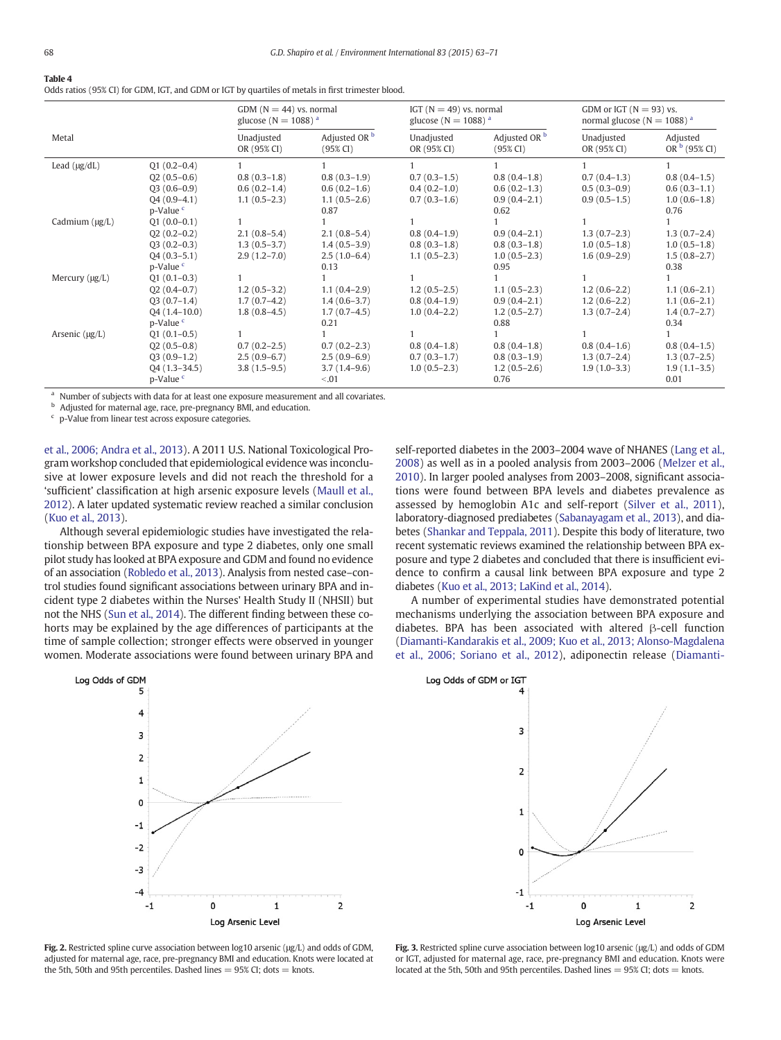# <span id="page-5-0"></span>Table 4

Odds ratios (95% CI) for GDM, IGT, and GDM or IGT by quartiles of metals in first trimester blood.

|                     |                      | GDM $(N = 44)$ vs. normal<br>glucose ( $N = 1088$ ) <sup>a</sup> |                                      | IGT $(N = 49)$ vs. normal<br>glucose ( $N = 1088$ ) <sup>a</sup> |                                                 | GDM or IGT $(N = 93)$ vs.<br>normal glucose ( $N = 1088$ ) <sup>a</sup> |                             |
|---------------------|----------------------|------------------------------------------------------------------|--------------------------------------|------------------------------------------------------------------|-------------------------------------------------|-------------------------------------------------------------------------|-----------------------------|
| Metal               |                      | Unadjusted<br>OR (95% CI)                                        | Adjusted OR <sup>b</sup><br>(95% CI) | Unadjusted<br>OR (95% CI)                                        | Adjusted OR <sup>b</sup><br>$(95\% \text{ CI})$ | Unadjusted<br>OR (95% CI)                                               | Adjusted<br>OR $b$ (95% CI) |
| Lead $(\mu g/dL)$   | $Q1(0.2-0.4)$        |                                                                  |                                      |                                                                  |                                                 |                                                                         |                             |
|                     | $Q2(0.5-0.6)$        | $0.8(0.3-1.8)$                                                   | $0.8(0.3-1.9)$                       | $0.7(0.3-1.5)$                                                   | $0.8(0.4-1.8)$                                  | $0.7(0.4-1.3)$                                                          | $0.8(0.4-1.5)$              |
|                     | $Q3(0.6-0.9)$        | $0.6(0.2-1.4)$                                                   | $0.6(0.2-1.6)$                       | $0.4(0.2-1.0)$                                                   | $0.6(0.2-1.3)$                                  | $0.5(0.3-0.9)$                                                          | $0.6(0.3-1.1)$              |
|                     | $Q4(0.9-4.1)$        | $1.1(0.5-2.3)$                                                   | $1.1(0.5-2.6)$                       | $0.7(0.3-1.6)$                                                   | $0.9(0.4-2.1)$                                  | $0.9(0.5-1.5)$                                                          | $1.0(0.6-1.8)$              |
|                     | p-Value <sup>c</sup> |                                                                  | 0.87                                 |                                                                  | 0.62                                            |                                                                         | 0.76                        |
| Cadmium $(\mu g/L)$ | $Q1(0.0-0.1)$        |                                                                  |                                      |                                                                  |                                                 |                                                                         |                             |
|                     | $Q2(0.2-0.2)$        | $2.1(0.8-5.4)$                                                   | $2.1(0.8-5.4)$                       | $0.8(0.4-1.9)$                                                   | $0.9(0.4-2.1)$                                  | $1.3(0.7-2.3)$                                                          | $1.3(0.7-2.4)$              |
|                     | $Q3(0.2-0.3)$        | $1.3(0.5-3.7)$                                                   | $1.4(0.5-3.9)$                       | $0.8(0.3-1.8)$                                                   | $0.8(0.3-1.8)$                                  | $1.0(0.5-1.8)$                                                          | $1.0(0.5-1.8)$              |
|                     | $Q4(0.3-5.1)$        | $2.9(1.2 - 7.0)$                                                 | $2.5(1.0-6.4)$                       | $1.1(0.5-2.3)$                                                   | $1.0(0.5-2.3)$                                  | $1.6(0.9-2.9)$                                                          | $1.5(0.8-2.7)$              |
|                     | p-Value <sup>c</sup> |                                                                  | 0.13                                 |                                                                  | 0.95                                            |                                                                         | 0.38                        |
| Mercury $(\mu g/L)$ | $Q1(0.1-0.3)$        |                                                                  |                                      |                                                                  |                                                 |                                                                         |                             |
|                     | $Q2(0.4-0.7)$        | $1.2(0.5-3.2)$                                                   | $1.1(0.4-2.9)$                       | $1.2(0.5-2.5)$                                                   | $1.1(0.5-2.3)$                                  | $1.2(0.6-2.2)$                                                          | $1.1(0.6-2.1)$              |
|                     | $Q3(0.7-1.4)$        | $1.7(0.7-4.2)$                                                   | $1.4(0.6-3.7)$                       | $0.8(0.4-1.9)$                                                   | $0.9(0.4-2.1)$                                  | $1.2(0.6-2.2)$                                                          | $1.1(0.6-2.1)$              |
|                     | $Q4(1.4-10.0)$       | $1.8(0.8-4.5)$                                                   | $1.7(0.7-4.5)$                       | $1.0(0.4-2.2)$                                                   | $1.2(0.5-2.7)$                                  | $1.3(0.7-2.4)$                                                          | $1.4(0.7-2.7)$              |
|                     | p-Value <sup>c</sup> |                                                                  | 0.21                                 |                                                                  | 0.88                                            |                                                                         | 0.34                        |
| Arsenic $(\mu g/L)$ | $Q1(0.1-0.5)$        |                                                                  |                                      |                                                                  |                                                 |                                                                         |                             |
|                     | $Q2(0.5-0.8)$        | $0.7(0.2 - 2.5)$                                                 | $0.7(0.2-2.3)$                       | $0.8(0.4-1.8)$                                                   | $0.8(0.4-1.8)$                                  | $0.8(0.4-1.6)$                                                          | $0.8(0.4-1.5)$              |
|                     | $Q3(0.9-1.2)$        | $2.5(0.9-6.7)$                                                   | $2.5(0.9-6.9)$                       | $0.7(0.3-1.7)$                                                   | $0.8(0.3-1.9)$                                  | $1.3(0.7-2.4)$                                                          | $1.3(0.7-2.5)$              |
|                     | $Q4(1.3-34.5)$       | $3.8(1.5-9.5)$                                                   | $3.7(1.4-9.6)$                       | $1.0(0.5-2.3)$                                                   | $1.2(0.5-2.6)$                                  | $1.9(1.0-3.3)$                                                          | $1.9(1.1-3.5)$              |
|                     | p-Value <sup>c</sup> |                                                                  | < 0.01                               |                                                                  | 0.76                                            |                                                                         | 0.01                        |

<sup>a</sup> Number of subjects with data for at least one exposure measurement and all covariates.

**b** Adjusted for maternal age, race, pre-pregnancy BMI, and education.

<sup>c</sup> p-Value from linear test across exposure categories.

[et al., 2006; Andra et al., 2013\)](#page-7-0). A 2011 U.S. National Toxicological Program workshop concluded that epidemiological evidence was inconclusive at lower exposure levels and did not reach the threshold for a 'sufficient' classification at high arsenic exposure levels ([Maull et al.,](#page-7-0) [2012\)](#page-7-0). A later updated systematic review reached a similar conclusion [\(Kuo et al., 2013\)](#page-7-0).

Although several epidemiologic studies have investigated the relationship between BPA exposure and type 2 diabetes, only one small pilot study has looked at BPA exposure and GDM and found no evidence of an association ([Robledo et al., 2013\)](#page-8-0). Analysis from nested case–control studies found significant associations between urinary BPA and incident type 2 diabetes within the Nurses' Health Study II (NHSII) but not the NHS ([Sun et al., 2014\)](#page-8-0). The different finding between these cohorts may be explained by the age differences of participants at the time of sample collection; stronger effects were observed in younger women. Moderate associations were found between urinary BPA and self-reported diabetes in the 2003–2004 wave of NHANES ([Lang et al.,](#page-7-0) [2008](#page-7-0)) as well as in a pooled analysis from 2003–2006 ([Melzer et al.,](#page-7-0) [2010\)](#page-7-0). In larger pooled analyses from 2003–2008, significant associations were found between BPA levels and diabetes prevalence as assessed by hemoglobin A1c and self-report [\(Silver et al., 2011](#page-8-0)), laboratory-diagnosed prediabetes ([Sabanayagam et al., 2013](#page-8-0)), and diabetes [\(Shankar and Teppala, 2011\)](#page-8-0). Despite this body of literature, two recent systematic reviews examined the relationship between BPA exposure and type 2 diabetes and concluded that there is insufficient evidence to confirm a causal link between BPA exposure and type 2 diabetes ([Kuo et al., 2013; LaKind et al., 2014](#page-7-0)).

A number of experimental studies have demonstrated potential mechanisms underlying the association between BPA exposure and diabetes. BPA has been associated with altered β-cell function [\(Diamanti-Kandarakis et al., 2009; Kuo et al., 2013; Alonso-Magdalena](#page-7-0) [et al., 2006; Soriano et al., 2012](#page-7-0)), adiponectin release ([Diamanti-](#page-7-0)







Fig. 3. Restricted spline curve association between log10 arsenic (μg/L) and odds of GDM or IGT, adjusted for maternal age, race, pre-pregnancy BMI and education. Knots were located at the 5th, 50th and 95th percentiles. Dashed lines  $= 95\%$  CI; dots  $=$  knots.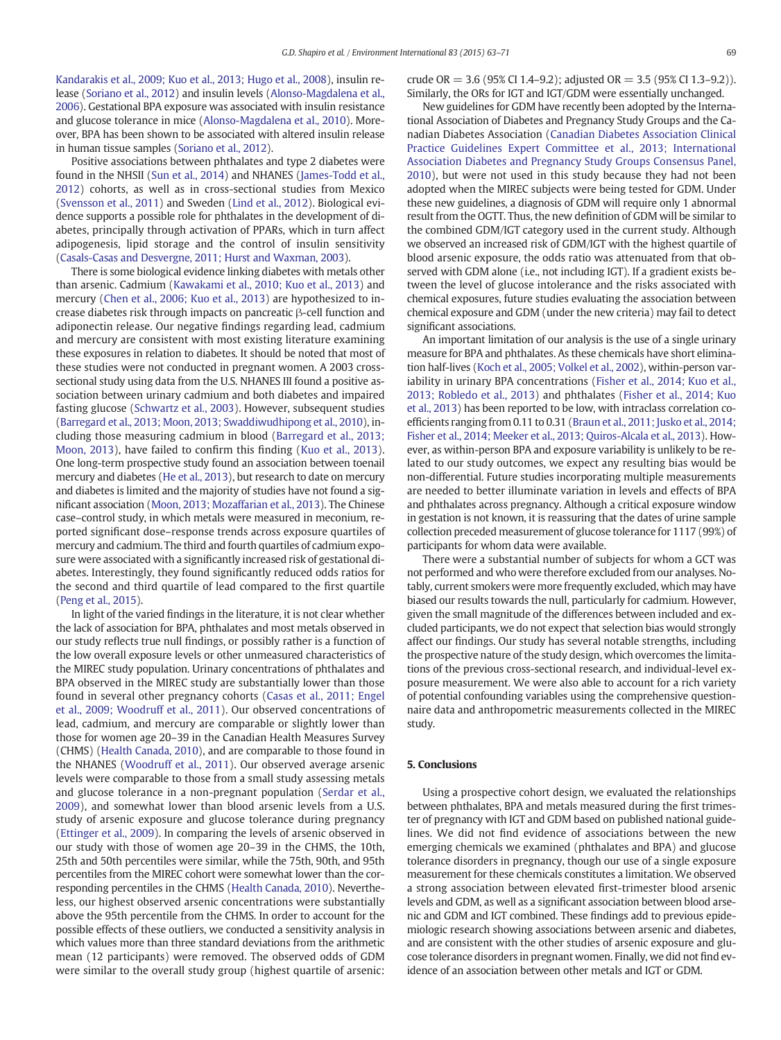[Kandarakis et al., 2009; Kuo et al., 2013; Hugo et al., 2008](#page-7-0)), insulin release ([Soriano et al., 2012](#page-8-0)) and insulin levels [\(Alonso-Magdalena et al.,](#page-7-0) [2006](#page-7-0)). Gestational BPA exposure was associated with insulin resistance and glucose tolerance in mice [\(Alonso-Magdalena et al., 2010\)](#page-7-0). Moreover, BPA has been shown to be associated with altered insulin release in human tissue samples ([Soriano et al., 2012](#page-8-0)).

Positive associations between phthalates and type 2 diabetes were found in the NHSII ([Sun et al., 2014\)](#page-8-0) and NHANES [\(James-Todd et al.,](#page-7-0) [2012\)](#page-7-0) cohorts, as well as in cross-sectional studies from Mexico [\(Svensson et al., 2011](#page-8-0)) and Sweden [\(Lind et al., 2012\)](#page-7-0). Biological evidence supports a possible role for phthalates in the development of diabetes, principally through activation of PPARs, which in turn affect adipogenesis, lipid storage and the control of insulin sensitivity [\(Casals-Casas and Desvergne, 2011; Hurst and Waxman, 2003](#page-7-0)).

There is some biological evidence linking diabetes with metals other than arsenic. Cadmium [\(Kawakami et al., 2010; Kuo et al., 2013](#page-7-0)) and mercury [\(Chen et al., 2006; Kuo et al., 2013](#page-7-0)) are hypothesized to increase diabetes risk through impacts on pancreatic β-cell function and adiponectin release. Our negative findings regarding lead, cadmium and mercury are consistent with most existing literature examining these exposures in relation to diabetes. It should be noted that most of these studies were not conducted in pregnant women. A 2003 crosssectional study using data from the U.S. NHANES III found a positive association between urinary cadmium and both diabetes and impaired fasting glucose ([Schwartz et al., 2003\)](#page-8-0). However, subsequent studies [\(Barregard et al., 2013; Moon, 2013; Swaddiwudhipong et al., 2010\)](#page-7-0), including those measuring cadmium in blood ([Barregard et al., 2013;](#page-7-0) [Moon, 2013\)](#page-7-0), have failed to confirm this finding ([Kuo et al., 2013](#page-7-0)). One long-term prospective study found an association between toenail mercury and diabetes [\(He et al., 2013\)](#page-7-0), but research to date on mercury and diabetes is limited and the majority of studies have not found a significant association [\(Moon, 2013; Mozaffarian et al., 2013](#page-7-0)). The Chinese case–control study, in which metals were measured in meconium, reported significant dose–response trends across exposure quartiles of mercury and cadmium. The third and fourth quartiles of cadmium exposure were associated with a significantly increased risk of gestational diabetes. Interestingly, they found significantly reduced odds ratios for the second and third quartile of lead compared to the first quartile [\(Peng et al., 2015](#page-8-0)).

In light of the varied findings in the literature, it is not clear whether the lack of association for BPA, phthalates and most metals observed in our study reflects true null findings, or possibly rather is a function of the low overall exposure levels or other unmeasured characteristics of the MIREC study population. Urinary concentrations of phthalates and BPA observed in the MIREC study are substantially lower than those found in several other pregnancy cohorts ([Casas et al., 2011; Engel](#page-7-0) [et al., 2009; Woodruff et al., 2011](#page-7-0)). Our observed concentrations of lead, cadmium, and mercury are comparable or slightly lower than those for women age 20–39 in the Canadian Health Measures Survey (CHMS) [\(Health Canada, 2010](#page-7-0)), and are comparable to those found in the NHANES [\(Woodruff et al., 2011](#page-8-0)). Our observed average arsenic levels were comparable to those from a small study assessing metals and glucose tolerance in a non-pregnant population [\(Serdar et al.,](#page-8-0) [2009\)](#page-8-0), and somewhat lower than blood arsenic levels from a U.S. study of arsenic exposure and glucose tolerance during pregnancy [\(Ettinger et al., 2009\)](#page-7-0). In comparing the levels of arsenic observed in our study with those of women age 20–39 in the CHMS, the 10th, 25th and 50th percentiles were similar, while the 75th, 90th, and 95th percentiles from the MIREC cohort were somewhat lower than the corresponding percentiles in the CHMS ([Health Canada, 2010](#page-7-0)). Nevertheless, our highest observed arsenic concentrations were substantially above the 95th percentile from the CHMS. In order to account for the possible effects of these outliers, we conducted a sensitivity analysis in which values more than three standard deviations from the arithmetic mean (12 participants) were removed. The observed odds of GDM were similar to the overall study group (highest quartile of arsenic:

crude OR =  $3.6$  (95% CI 1.4–9.2); adjusted OR =  $3.5$  (95% CI 1.3–9.2)). Similarly, the ORs for IGT and IGT/GDM were essentially unchanged.

New guidelines for GDM have recently been adopted by the International Association of Diabetes and Pregnancy Study Groups and the Canadian Diabetes Association ([Canadian Diabetes Association Clinical](#page-7-0) [Practice Guidelines Expert Committee et al., 2013; International](#page-7-0) [Association Diabetes and Pregnancy Study Groups Consensus Panel,](#page-7-0) [2010\)](#page-7-0), but were not used in this study because they had not been adopted when the MIREC subjects were being tested for GDM. Under these new guidelines, a diagnosis of GDM will require only 1 abnormal result from the OGTT. Thus, the new definition of GDM will be similar to the combined GDM/IGT category used in the current study. Although we observed an increased risk of GDM/IGT with the highest quartile of blood arsenic exposure, the odds ratio was attenuated from that observed with GDM alone (i.e., not including IGT). If a gradient exists between the level of glucose intolerance and the risks associated with chemical exposures, future studies evaluating the association between chemical exposure and GDM (under the new criteria) may fail to detect significant associations.

An important limitation of our analysis is the use of a single urinary measure for BPA and phthalates. As these chemicals have short elimination half-lives [\(Koch et al., 2005; Volkel et al., 2002\)](#page-7-0), within-person variability in urinary BPA concentrations ([Fisher et al., 2014; Kuo et al.,](#page-7-0) [2013; Robledo et al., 2013](#page-7-0)) and phthalates ([Fisher et al., 2014; Kuo](#page-7-0) [et al., 2013\)](#page-7-0) has been reported to be low, with intraclass correlation coefficients ranging from 0.11 to 0.31 ([Braun et al., 2011; Jusko et al., 2014;](#page-7-0) [Fisher et al., 2014; Meeker et al., 2013; Quiros-Alcala et al., 2013\)](#page-7-0). However, as within-person BPA and exposure variability is unlikely to be related to our study outcomes, we expect any resulting bias would be non-differential. Future studies incorporating multiple measurements are needed to better illuminate variation in levels and effects of BPA and phthalates across pregnancy. Although a critical exposure window in gestation is not known, it is reassuring that the dates of urine sample collection preceded measurement of glucose tolerance for 1117 (99%) of participants for whom data were available.

There were a substantial number of subjects for whom a GCT was not performed and who were therefore excluded from our analyses. Notably, current smokers were more frequently excluded, which may have biased our results towards the null, particularly for cadmium. However, given the small magnitude of the differences between included and excluded participants, we do not expect that selection bias would strongly affect our findings. Our study has several notable strengths, including the prospective nature of the study design, which overcomes the limitations of the previous cross-sectional research, and individual-level exposure measurement. We were also able to account for a rich variety of potential confounding variables using the comprehensive questionnaire data and anthropometric measurements collected in the MIREC study.

#### 5. Conclusions

Using a prospective cohort design, we evaluated the relationships between phthalates, BPA and metals measured during the first trimester of pregnancy with IGT and GDM based on published national guidelines. We did not find evidence of associations between the new emerging chemicals we examined (phthalates and BPA) and glucose tolerance disorders in pregnancy, though our use of a single exposure measurement for these chemicals constitutes a limitation. We observed a strong association between elevated first-trimester blood arsenic levels and GDM, as well as a significant association between blood arsenic and GDM and IGT combined. These findings add to previous epidemiologic research showing associations between arsenic and diabetes, and are consistent with the other studies of arsenic exposure and glucose tolerance disorders in pregnant women. Finally, we did not find evidence of an association between other metals and IGT or GDM.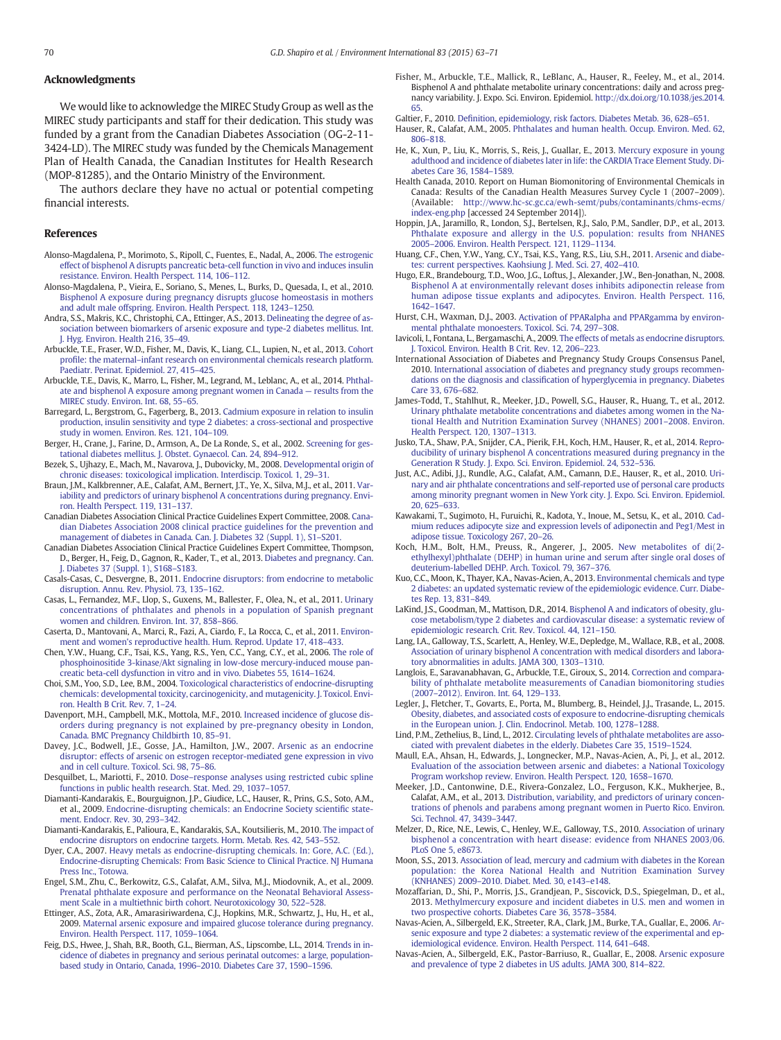# <span id="page-7-0"></span>Acknowledgments

We would like to acknowledge the MIREC Study Group as well as the MIREC study participants and staff for their dedication. This study was funded by a grant from the Canadian Diabetes Association (OG-2-11- 3424-LD). The MIREC study was funded by the Chemicals Management Plan of Health Canada, the Canadian Institutes for Health Research (MOP-81285), and the Ontario Ministry of the Environment.

The authors declare they have no actual or potential competing financial interests.

# References

- Alonso-Magdalena, P., Morimoto, S., Ripoll, C., Fuentes, E., Nadal, A., 2006. [The estrogenic](http://refhub.elsevier.com/S0160-4120(15)00137-3/rf0005) [effect of bisphenol A disrupts pancreatic beta-cell function in vivo and induces insulin](http://refhub.elsevier.com/S0160-4120(15)00137-3/rf0005) [resistance. Environ. Health Perspect. 114, 106](http://refhub.elsevier.com/S0160-4120(15)00137-3/rf0005)–112.
- Alonso-Magdalena, P., Vieira, E., Soriano, S., Menes, L., Burks, D., Quesada, I., et al., 2010. [Bisphenol A exposure during pregnancy disrupts glucose homeostasis in mothers](http://refhub.elsevier.com/S0160-4120(15)00137-3/rf0010) [and adult male offspring. Environ. Health Perspect. 118, 1243](http://refhub.elsevier.com/S0160-4120(15)00137-3/rf0010)–1250.
- Andra, S.S., Makris, K.C., Christophi, C.A., Ettinger, A.S., 2013. [Delineating the degree of as](http://refhub.elsevier.com/S0160-4120(15)00137-3/rf0015)[sociation between biomarkers of arsenic exposure and type-2 diabetes mellitus. Int.](http://refhub.elsevier.com/S0160-4120(15)00137-3/rf0015) [J. Hyg. Environ. Health 216, 35](http://refhub.elsevier.com/S0160-4120(15)00137-3/rf0015)–49.
- Arbuckle, T.E., Fraser, W.D., Fisher, M., Davis, K., Liang, C.L., Lupien, N., et al., 2013. [Cohort](http://refhub.elsevier.com/S0160-4120(15)00137-3/rf0020) profile: the maternal–[infant research on environmental chemicals research platform.](http://refhub.elsevier.com/S0160-4120(15)00137-3/rf0020) [Paediatr. Perinat. Epidemiol. 27, 415](http://refhub.elsevier.com/S0160-4120(15)00137-3/rf0020)–425.
- Arbuckle, T.E., Davis, K., Marro, L., Fisher, M., Legrand, M., Leblanc, A., et al., 2014. [Phthal](http://refhub.elsevier.com/S0160-4120(15)00137-3/rf0025)[ate and bisphenol A exposure among pregnant women in Canada](http://refhub.elsevier.com/S0160-4120(15)00137-3/rf0025) — results from the [MIREC study. Environ. Int. 68, 55](http://refhub.elsevier.com/S0160-4120(15)00137-3/rf0025)–65.
- Barregard, L., Bergstrom, G., Fagerberg, B., 2013. [Cadmium exposure in relation to insulin](http://refhub.elsevier.com/S0160-4120(15)00137-3/rf0030) [production, insulin sensitivity and type 2 diabetes: a cross-sectional and prospective](http://refhub.elsevier.com/S0160-4120(15)00137-3/rf0030) [study in women. Environ. Res. 121, 104](http://refhub.elsevier.com/S0160-4120(15)00137-3/rf0030)–109.
- Berger, H., Crane, J., Farine, D., Armson, A., De La Ronde, S., et al., 2002. [Screening for ges](http://refhub.elsevier.com/S0160-4120(15)00137-3/rf0035)[tational diabetes mellitus. J. Obstet. Gynaecol. Can. 24, 894](http://refhub.elsevier.com/S0160-4120(15)00137-3/rf0035)–912.
- Bezek, S., Ujhazy, E., Mach, M., Navarova, J., Dubovicky, M., 2008. [Developmental origin of](http://refhub.elsevier.com/S0160-4120(15)00137-3/rf0040) [chronic diseases: toxicological implication. Interdiscip. Toxicol. 1, 29](http://refhub.elsevier.com/S0160-4120(15)00137-3/rf0040)–31.
- Braun, J.M., Kalkbrenner, A.E., Calafat, A.M., Bernert, J.T., Ye, X., Silva, M.J., et al., 2011. [Var](http://refhub.elsevier.com/S0160-4120(15)00137-3/rf0045)[iability and predictors of urinary bisphenol A concentrations during pregnancy. Envi](http://refhub.elsevier.com/S0160-4120(15)00137-3/rf0045)[ron. Health Perspect. 119, 131](http://refhub.elsevier.com/S0160-4120(15)00137-3/rf0045)–137.
- Canadian Diabetes Association Clinical Practice Guidelines Expert Committee, 2008. [Cana](http://refhub.elsevier.com/S0160-4120(15)00137-3/rf0050)[dian Diabetes Association 2008 clinical practice guidelines for the prevention and](http://refhub.elsevier.com/S0160-4120(15)00137-3/rf0050) [management of diabetes in Canada. Can. J. Diabetes 32 \(Suppl. 1\), S1](http://refhub.elsevier.com/S0160-4120(15)00137-3/rf0050)–S201.
- Canadian Diabetes Association Clinical Practice Guidelines Expert Committee, Thompson, D., Berger, H., Feig, D., Gagnon, R., Kader, T., et al., 2013. [Diabetes and pregnancy. Can.](http://refhub.elsevier.com/S0160-4120(15)00137-3/rf0055) [J. Diabetes 37 \(Suppl. 1\), S168](http://refhub.elsevier.com/S0160-4120(15)00137-3/rf0055)–S183.
- Casals-Casas, C., Desvergne, B., 2011. [Endocrine disruptors: from endocrine to metabolic](http://refhub.elsevier.com/S0160-4120(15)00137-3/rf0060) [disruption. Annu. Rev. Physiol. 73, 135](http://refhub.elsevier.com/S0160-4120(15)00137-3/rf0060)–162.
- Casas, L., Fernandez, M.F., Llop, S., Guxens, M., Ballester, F., Olea, N., et al., 2011. [Urinary](http://refhub.elsevier.com/S0160-4120(15)00137-3/rf0065) [concentrations of phthalates and phenols in a population of Spanish pregnant](http://refhub.elsevier.com/S0160-4120(15)00137-3/rf0065) [women and children. Environ. Int. 37, 858](http://refhub.elsevier.com/S0160-4120(15)00137-3/rf0065)–866.
- Caserta, D., Mantovani, A., Marci, R., Fazi, A., Ciardo, F., La Rocca, C., et al., 2011. [Environ](http://refhub.elsevier.com/S0160-4120(15)00137-3/rf0070)[ment and women's reproductive health. Hum. Reprod. Update 17, 418](http://refhub.elsevier.com/S0160-4120(15)00137-3/rf0070)–433.
- Chen, Y.W., Huang, C.F., Tsai, K.S., Yang, R.S., Yen, C.C., Yang, C.Y., et al., 2006. [The role of](http://refhub.elsevier.com/S0160-4120(15)00137-3/rf0075) [phosphoinositide 3-kinase/Akt signaling in low-dose mercury-induced mouse pan](http://refhub.elsevier.com/S0160-4120(15)00137-3/rf0075)[creatic beta-cell dysfunction in vitro and in vivo. Diabetes 55, 1614](http://refhub.elsevier.com/S0160-4120(15)00137-3/rf0075)–1624.
- Choi, S.M., Yoo, S.D., Lee, B.M., 2004. [Toxicological characteristics of endocrine-disrupting](http://refhub.elsevier.com/S0160-4120(15)00137-3/rf0080) [chemicals: developmental toxicity, carcinogenicity, and mutagenicity. J. Toxicol. Envi](http://refhub.elsevier.com/S0160-4120(15)00137-3/rf0080)[ron. Health B Crit. Rev. 7, 1](http://refhub.elsevier.com/S0160-4120(15)00137-3/rf0080)–24.
- Davenport, M.H., Campbell, M.K., Mottola, M.F., 2010. [Increased incidence of glucose dis](http://refhub.elsevier.com/S0160-4120(15)00137-3/rf0085)[orders during pregnancy is not explained by pre-pregnancy obesity in London,](http://refhub.elsevier.com/S0160-4120(15)00137-3/rf0085) [Canada. BMC Pregnancy Childbirth 10, 85](http://refhub.elsevier.com/S0160-4120(15)00137-3/rf0085)–91.
- Davey, J.C., Bodwell, J.E., Gosse, J.A., Hamilton, J.W., 2007. [Arsenic as an endocrine](http://refhub.elsevier.com/S0160-4120(15)00137-3/rf0090) [disruptor: effects of arsenic on estrogen receptor-mediated gene expression in vivo](http://refhub.elsevier.com/S0160-4120(15)00137-3/rf0090) [and in cell culture. Toxicol. Sci. 98, 75](http://refhub.elsevier.com/S0160-4120(15)00137-3/rf0090)–86.
- Desquilbet, L., Mariotti, F., 2010. Dose–[response analyses using restricted cubic spline](http://refhub.elsevier.com/S0160-4120(15)00137-3/rf0095) [functions in public health research. Stat. Med. 29, 1037](http://refhub.elsevier.com/S0160-4120(15)00137-3/rf0095)–1057.
- Diamanti-Kandarakis, E., Bourguignon, J.P., Giudice, L.C., Hauser, R., Prins, G.S., Soto, A.M., et al., 2009. [Endocrine-disrupting chemicals: an Endocrine Society scienti](http://refhub.elsevier.com/S0160-4120(15)00137-3/rf0100)fic state[ment. Endocr. Rev. 30, 293](http://refhub.elsevier.com/S0160-4120(15)00137-3/rf0100)–342.
- Diamanti-Kandarakis, E., Palioura, E., Kandarakis, S.A., Koutsilieris, M., 2010. [The impact of](http://refhub.elsevier.com/S0160-4120(15)00137-3/rf0105) [endocrine disruptors on endocrine targets. Horm. Metab. Res. 42, 543](http://refhub.elsevier.com/S0160-4120(15)00137-3/rf0105)–552.
- Dyer, C.A., 2007. [Heavy metals as endocrine-disrupting chemicals. In: Gore, A.C. \(Ed.\),](http://refhub.elsevier.com/S0160-4120(15)00137-3/rf0110) [Endocrine-disrupting Chemicals: From Basic Science to Clinical Practice. NJ Humana](http://refhub.elsevier.com/S0160-4120(15)00137-3/rf0110) [Press Inc., Totowa](http://refhub.elsevier.com/S0160-4120(15)00137-3/rf0110).
- Engel, S.M., Zhu, C., Berkowitz, G.S., Calafat, A.M., Silva, M.J., Miodovnik, A., et al., 2009. [Prenatal phthalate exposure and performance on the Neonatal Behavioral Assess](http://refhub.elsevier.com/S0160-4120(15)00137-3/rf0115)[ment Scale in a multiethnic birth cohort. Neurotoxicology 30, 522](http://refhub.elsevier.com/S0160-4120(15)00137-3/rf0115)–528.
- Ettinger, A.S., Zota, A.R., Amarasiriwardena, C.J., Hopkins, M.R., Schwartz, J., Hu, H., et al., 2009. [Maternal arsenic exposure and impaired glucose tolerance during pregnancy.](http://refhub.elsevier.com/S0160-4120(15)00137-3/rf0120) [Environ. Health Perspect. 117, 1059](http://refhub.elsevier.com/S0160-4120(15)00137-3/rf0120)–1064.
- Feig, D.S., Hwee, J., Shah, B.R., Booth, G.L., Bierman, A.S., Lipscombe, L.L., 2014. [Trends in in](http://refhub.elsevier.com/S0160-4120(15)00137-3/rf0125)[cidence of diabetes in pregnancy and serious](http://refhub.elsevier.com/S0160-4120(15)00137-3/rf0125) perinatal outcomes: a large, population[based study in Ontario, Canada, 1996](http://refhub.elsevier.com/S0160-4120(15)00137-3/rf0125)–2010. Diabetes Care 37, 1590–1596.
- Fisher, M., Arbuckle, T.E., Mallick, R., LeBlanc, A., Hauser, R., Feeley, M., et al., 2014. Bisphenol A and phthalate metabolite urinary concentrations: daily and across pregnancy variability. J. Expo. Sci. Environ. Epidemiol. http://dx.doi.org/[10.1038/jes.2014.](http://dx.doi.org/10.1038/jes.2014.65) [65.](http://dx.doi.org/10.1038/jes.2014.65)
- Galtier, F., 2010. Defi[nition, epidemiology, risk factors. Diabetes Metab. 36, 628](http://refhub.elsevier.com/S0160-4120(15)00137-3/rf0135)–651.
- Hauser, R., Calafat, A.M., 2005. [Phthalates and human health. Occup. Environ. Med. 62,](http://refhub.elsevier.com/S0160-4120(15)00137-3/rf0140) 806–[818.](http://refhub.elsevier.com/S0160-4120(15)00137-3/rf0140)
- He, K., Xun, P., Liu, K., Morris, S., Reis, J., Guallar, E., 2013. [Mercury exposure in young](http://refhub.elsevier.com/S0160-4120(15)00137-3/rf0145) [adulthood and incidence of diabetes later in life: the CARDIA Trace Element Study. Di](http://refhub.elsevier.com/S0160-4120(15)00137-3/rf0145)[abetes Care 36, 1584](http://refhub.elsevier.com/S0160-4120(15)00137-3/rf0145)–1589.
- Health Canada, 2010. Report on Human Biomonitoring of Environmental Chemicals in Canada: Results of the Canadian Health Measures Survey Cycle 1 (2007–2009). (Available: [http://www.hc-sc.gc.ca/ewh-semt/pubs/contaminants/chms-ecms/](http://www.hc-sc.gc.ca/ewh-semt/pubs/contaminants/chms-ecms/index-eng.php) [index-eng.php](http://www.hc-sc.gc.ca/ewh-semt/pubs/contaminants/chms-ecms/index-eng.php) [accessed 24 September 2014]).
- Hoppin, J.A., Jaramillo, R., London, S.J., Bertelsen, R.J., Salo, P.M., Sandler, D.P., et al., 2013. [Phthalate exposure and allergy in the U.S. population: results from NHANES](http://refhub.elsevier.com/S0160-4120(15)00137-3/rf0155) 2005–[2006. Environ. Health Perspect. 121, 1129](http://refhub.elsevier.com/S0160-4120(15)00137-3/rf0155)–1134.
- Huang, C.F., Chen, Y.W., Yang, C.Y., Tsai, K.S., Yang, R.S., Liu, S.H., 2011. [Arsenic and diabe](http://refhub.elsevier.com/S0160-4120(15)00137-3/rf0160)[tes: current perspectives. Kaohsiung J. Med. Sci. 27, 402](http://refhub.elsevier.com/S0160-4120(15)00137-3/rf0160)–410.
- Hugo, E.R., Brandebourg, T.D., Woo, J.G., Loftus, J., Alexander, J.W., Ben-Jonathan, N., 2008. [Bisphenol A at environmentally relevant doses inhibits adiponectin release from](http://refhub.elsevier.com/S0160-4120(15)00137-3/rf0165) [human adipose tissue explants and adipocytes. Environ. Health Perspect. 116,](http://refhub.elsevier.com/S0160-4120(15)00137-3/rf0165) 1642–[1647.](http://refhub.elsevier.com/S0160-4120(15)00137-3/rf0165)
- Hurst, C.H., Waxman, D.J., 2003. [Activation of PPARalpha and PPARgamma by environ](http://refhub.elsevier.com/S0160-4120(15)00137-3/rf0170)[mental phthalate monoesters. Toxicol. Sci. 74, 297](http://refhub.elsevier.com/S0160-4120(15)00137-3/rf0170)–308.
- Iavicoli, I., Fontana, L., Bergamaschi, A., 2009. [The effects of metals as endocrine disruptors.](http://refhub.elsevier.com/S0160-4120(15)00137-3/rf0175) [J. Toxicol. Environ. Health B Crit. Rev. 12, 206](http://refhub.elsevier.com/S0160-4120(15)00137-3/rf0175)–223.
- International Association of Diabetes and Pregnancy Study Groups Consensus Panel, 2010. [International association of diabetes and pregnancy study groups recommen](http://refhub.elsevier.com/S0160-4120(15)00137-3/rf0180)dations on the diagnosis and classifi[cation of hyperglycemia in pregnancy. Diabetes](http://refhub.elsevier.com/S0160-4120(15)00137-3/rf0180) [Care 33, 676](http://refhub.elsevier.com/S0160-4120(15)00137-3/rf0180)–682.
- James-Todd, T., Stahlhut, R., Meeker, J.D., Powell, S.G., Hauser, R., Huang, T., et al., 2012. [Urinary phthalate metabolite concentrations and diabetes among women in the Na](http://refhub.elsevier.com/S0160-4120(15)00137-3/rf0185)[tional Health and Nutrition Examination Survey \(NHANES\) 2001](http://refhub.elsevier.com/S0160-4120(15)00137-3/rf0185)–2008. Environ. [Health Perspect. 120, 1307](http://refhub.elsevier.com/S0160-4120(15)00137-3/rf0185)–1313.
- Jusko, T.A., Shaw, P.A., Snijder, C.A., Pierik, F.H., Koch, H.M., Hauser, R., et al., 2014. [Repro](http://refhub.elsevier.com/S0160-4120(15)00137-3/rf0190)[ducibility of urinary bisphenol A concentrations measured during pregnancy in the](http://refhub.elsevier.com/S0160-4120(15)00137-3/rf0190) [Generation R Study. J. Expo. Sci. Environ. Epidemiol. 24, 532](http://refhub.elsevier.com/S0160-4120(15)00137-3/rf0190)–536.
- Just, A.C., Adibi, J.J., Rundle, A.G., Calafat, A.M., Camann, D.E., Hauser, R., et al., 2010. [Uri](http://refhub.elsevier.com/S0160-4120(15)00137-3/rf0195)[nary and air phthalate concentrations and self-reported use of personal care products](http://refhub.elsevier.com/S0160-4120(15)00137-3/rf0195) [among minority pregnant women in New York city. J. Expo. Sci. Environ. Epidemiol.](http://refhub.elsevier.com/S0160-4120(15)00137-3/rf0195) [20, 625](http://refhub.elsevier.com/S0160-4120(15)00137-3/rf0195)–633.
- Kawakami, T., Sugimoto, H., Furuichi, R., Kadota, Y., Inoue, M., Setsu, K., et al., 2010. [Cad](http://refhub.elsevier.com/S0160-4120(15)00137-3/rf0200)[mium reduces adipocyte size and expression levels of adiponectin and Peg1/Mest in](http://refhub.elsevier.com/S0160-4120(15)00137-3/rf0200) [adipose tissue. Toxicology 267, 20](http://refhub.elsevier.com/S0160-4120(15)00137-3/rf0200)–26.
- Koch, H.M., Bolt, H.M., Preuss, R., Angerer, J., 2005. [New metabolites of di\(2](http://refhub.elsevier.com/S0160-4120(15)00137-3/rf0205) [ethylhexyl\)phthalate \(DEHP\) in human urine and serum after single oral doses of](http://refhub.elsevier.com/S0160-4120(15)00137-3/rf0205) [deuterium-labelled DEHP. Arch. Toxicol. 79, 367](http://refhub.elsevier.com/S0160-4120(15)00137-3/rf0205)–376.
- Kuo, C.C., Moon, K., Thayer, K.A., Navas-Acien, A., 2013. [Environmental chemicals and type](http://refhub.elsevier.com/S0160-4120(15)00137-3/rf0210) [2 diabetes: an updated systematic review of the epidemiologic evidence. Curr. Diabe](http://refhub.elsevier.com/S0160-4120(15)00137-3/rf0210)[tes Rep. 13, 831](http://refhub.elsevier.com/S0160-4120(15)00137-3/rf0210)–849.
- LaKind, J.S., Goodman, M., Mattison, D.R., 2014. [Bisphenol A and indicators of obesity, glu](http://refhub.elsevier.com/S0160-4120(15)00137-3/rf0215)[cose metabolism/type 2 diabetes and cardiovascular disease: a systematic review of](http://refhub.elsevier.com/S0160-4120(15)00137-3/rf0215) [epidemiologic research. Crit. Rev. Toxicol. 44, 121](http://refhub.elsevier.com/S0160-4120(15)00137-3/rf0215)–150.
- Lang, I.A., Galloway, T.S., Scarlett, A., Henley, W.E., Depledge, M., Wallace, R.B., et al., 2008. [Association of urinary bisphenol A concentration with medical disorders and labora](http://refhub.elsevier.com/S0160-4120(15)00137-3/rf0220)[tory abnormalities in adults. JAMA 300, 1303](http://refhub.elsevier.com/S0160-4120(15)00137-3/rf0220)–1310.
- Langlois, E., Saravanabhavan, G., Arbuckle, T.E., Giroux, S., 2014. [Correction and compara](http://refhub.elsevier.com/S0160-4120(15)00137-3/rf0225)[bility of phthalate metabolite measurements of Canadian biomonitoring studies](http://refhub.elsevier.com/S0160-4120(15)00137-3/rf0225) (2007–[2012\). Environ. Int. 64, 129](http://refhub.elsevier.com/S0160-4120(15)00137-3/rf0225)–133.
- Legler, J., Fletcher, T., Govarts, E., Porta, M., Blumberg, B., Heindel, J.J., Trasande, L., 2015. [Obesity, diabetes, and associated costs of exposure to endocrine-disrupting chemicals](http://refhub.elsevier.com/S0160-4120(15)00137-3/rf0230) [in the European union. J. Clin. Endocrinol. Metab. 100, 1278](http://refhub.elsevier.com/S0160-4120(15)00137-3/rf0230)–1288.
- Lind, P.M., Zethelius, B., Lind, L., 2012. [Circulating levels of phthalate metabolites are asso](http://refhub.elsevier.com/S0160-4120(15)00137-3/rf0235)[ciated with prevalent diabetes in the elderly. Diabetes Care 35, 1519](http://refhub.elsevier.com/S0160-4120(15)00137-3/rf0235)–1524.
- Maull, E.A., Ahsan, H., Edwards, J., Longnecker, M.P., Navas-Acien, A., Pi, J., et al., 2012. [Evaluation of the association between arsenic and diabetes: a National Toxicology](http://refhub.elsevier.com/S0160-4120(15)00137-3/rf0240) [Program workshop review. Environ. Health Perspect. 120, 1658](http://refhub.elsevier.com/S0160-4120(15)00137-3/rf0240)–1670.
- Meeker, J.D., Cantonwine, D.E., Rivera-Gonzalez, L.O., Ferguson, K.K., Mukherjee, B., Calafat, A.M., et al., 2013. [Distribution, variability, and predictors of urinary concen](http://refhub.elsevier.com/S0160-4120(15)00137-3/rf0245)[trations of phenols and parabens among pregnant women in Puerto Rico. Environ.](http://refhub.elsevier.com/S0160-4120(15)00137-3/rf0245) [Sci. Technol. 47, 3439](http://refhub.elsevier.com/S0160-4120(15)00137-3/rf0245)–3447.
- Melzer, D., Rice, N.E., Lewis, C., Henley, W.E., Galloway, T.S., 2010. [Association of urinary](http://refhub.elsevier.com/S0160-4120(15)00137-3/rf0250) [bisphenol a concentration with heart disease: evidence from NHANES 2003/06.](http://refhub.elsevier.com/S0160-4120(15)00137-3/rf0250) [PLoS One 5, e8673](http://refhub.elsevier.com/S0160-4120(15)00137-3/rf0250).
- Moon, S.S., 2013. [Association of lead, mercury and cadmium with diabetes in the Korean](http://refhub.elsevier.com/S0160-4120(15)00137-3/rf0255) [population: the Korea National Health and Nutrition Examination Survey](http://refhub.elsevier.com/S0160-4120(15)00137-3/rf0255) (KNHANES) 2009–[2010. Diabet. Med. 30, e143](http://refhub.elsevier.com/S0160-4120(15)00137-3/rf0255)–e148.
- Mozaffarian, D., Shi, P., Morris, J.S., Grandjean, P., Siscovick, D.S., Spiegelman, D., et al., 2013. [Methylmercury exposure and incident diabetes in U.S. men and women in](http://refhub.elsevier.com/S0160-4120(15)00137-3/rf0260) [two prospective cohorts. Diabetes Care 36, 3578](http://refhub.elsevier.com/S0160-4120(15)00137-3/rf0260)–3584.
- Navas-Acien, A., Silbergeld, E.K., Streeter, R.A., Clark, J.M., Burke, T.A., Guallar, E., 2006. [Ar](http://refhub.elsevier.com/S0160-4120(15)00137-3/rf0265)[senic exposure and type 2 diabetes: a systematic review of the experimental and ep](http://refhub.elsevier.com/S0160-4120(15)00137-3/rf0265)[idemiological evidence. Environ. Health Perspect. 114, 641](http://refhub.elsevier.com/S0160-4120(15)00137-3/rf0265)–648.
- Navas-Acien, A., Silbergeld, E.K., Pastor-Barriuso, R., Guallar, E., 2008. [Arsenic exposure](http://refhub.elsevier.com/S0160-4120(15)00137-3/rf0270) [and prevalence of type 2 diabetes in US adults. JAMA 300, 814](http://refhub.elsevier.com/S0160-4120(15)00137-3/rf0270)–822.